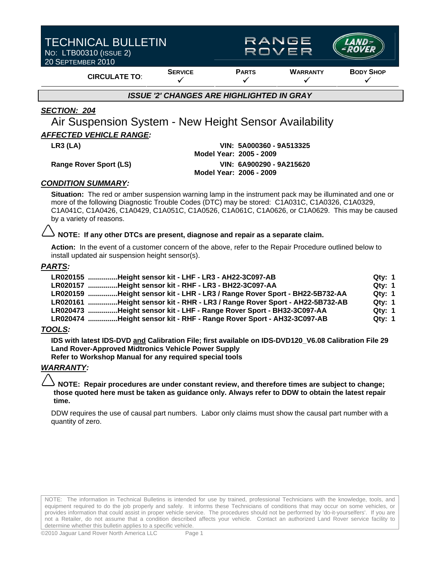| <b>TECHNICAL BULLETIN</b><br>NO: LTB00310 (ISSUE 2)<br>20 SEPTEMBER 2010 |                | <b>RANGE</b><br>ROVER |                 |                  |  |  |  |
|--------------------------------------------------------------------------|----------------|-----------------------|-----------------|------------------|--|--|--|
| <b>CIRCULATE TO:</b>                                                     | <b>SERVICE</b> | <b>PARTS</b>          | <b>WARRANTY</b> | <b>BODY SHOP</b> |  |  |  |
| <b>ISSUE '2' CHANGES ARE HIGHLIGHTED IN GRAY</b>                         |                |                       |                 |                  |  |  |  |

#### *SECTION: 204*

Air Suspension System - New Height Sensor Availability *AFFECTED VEHICLE RANGE:* 

#### **LR3 (LA) VIN: 5A000360 - 9A513325 Model Year: 2005 - 2009 Range Rover Sport (LS) VIN: 6A900290 - 9A215620 Model Year: 2006 - 2009**

#### *CONDITION SUMMARY:*

**Situation:** The red or amber suspension warning lamp in the instrument pack may be illuminated and one or more of the following Diagnostic Trouble Codes (DTC) may be stored: C1A031C, C1A0326, C1A0329, C1A041C, C1A0426, C1A0429, C1A051C, C1A0526, C1A061C, C1A0626, or C1A0629. This may be caused by a variety of reasons.

#### **NOTE: If any other DTCs are present, diagnose and repair as a separate claim.**

**Action:** In the event of a customer concern of the above, refer to the Repair Procedure outlined below to install updated air suspension height sensor(s).

#### *PARTS:*

| LR020155 Height sensor kit - LHF - LR3 - AH22-3C097-AB                     | <b>Qty: 1</b> |
|----------------------------------------------------------------------------|---------------|
| LR020157 Height sensor kit - RHF - LR3 - BH22-3C097-AA                     | Qty: 1        |
| LR020159 Height sensor kit - LHR - LR3 / Range Rover Sport - BH22-5B732-AA | <b>Qty: 1</b> |
| LR020161 Height sensor kit - RHR - LR3 / Range Rover Sport - AH22-5B732-AB | <b>Qty: 1</b> |
| LR020473 Height sensor kit - LHF - Range Rover Sport - BH32-3C097-AA       | Qty: 1        |
| LR020474 Height sensor kit - RHF - Range Rover Sport - AH32-3C097-AB       | Qtv: 1        |

#### *TOOLS:*

**IDS with latest IDS-DVD and Calibration File; first available on IDS-DVD120\_V6.08 Calibration File 29 Land Rover-Approved Midtronics Vehicle Power Supply** 

**Refer to Workshop Manual for any required special tools** 

#### *WARRANTY:*

**NOTE: Repair procedures are under constant review, and therefore times are subject to change; those quoted here must be taken as guidance only. Always refer to DDW to obtain the latest repair time.** 

DDW requires the use of causal part numbers. Labor only claims must show the causal part number with a quantity of zero.

NOTE: The information in Technical Bulletins is intended for use by trained, professional Technicians with the knowledge, tools, and equipment required to do the job properly and safely. It informs these Technicians of conditions that may occur on some vehicles, or provides information that could assist in proper vehicle service. The procedures should not be performed by 'do-it-yourselfers'. If you are not a Retailer, do not assume that a condition described affects your vehicle. Contact an authorized Land Rover service facility to determine whether this bulletin applies to a specific vehicle.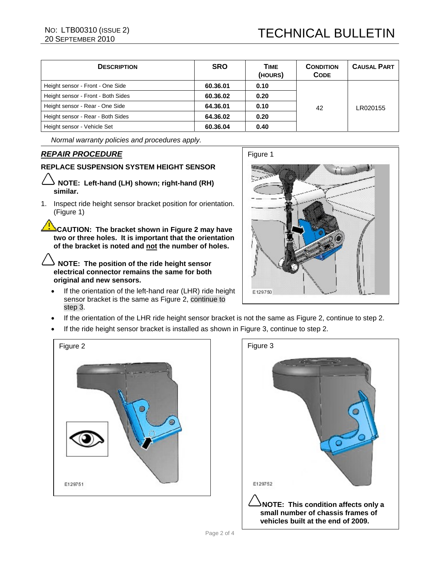| <b>DESCRIPTION</b>                 | <b>SRO</b> | TIME<br>(HOURS) | <b>CONDITION</b><br><b>CODE</b> | <b>CAUSAL PART</b> |
|------------------------------------|------------|-----------------|---------------------------------|--------------------|
| Height sensor - Front - One Side   | 60.36.01   | 0.10            |                                 |                    |
| Height sensor - Front - Both Sides | 60.36.02   | 0.20            |                                 |                    |
| Height sensor - Rear - One Side    | 64.36.01   | 0.10            | 42                              | LR020155           |
| Height sensor - Rear - Both Sides  | 64.36.02   | 0.20            |                                 |                    |
| Height sensor - Vehicle Set        | 60.36.04   | 0.40            |                                 |                    |

*Normal warranty policies and procedures apply.* 

### *REPAIR PROCEDURE*

#### **REPLACE SUSPENSION SYSTEM HEIGHT SENSOR**

- **NOTE: Left-hand (LH) shown; right-hand (RH) similar.**
- 1. Inspect ride height sensor bracket position for orientation. (Figure 1)

**CAUTION: The bracket shown in Figure 2 may have two or three holes. It is important that the orientation of the bracket is noted and not the number of holes.**

**NOTE: The position of the ride height sensor electrical connector remains the same for both original and new sensors.**

If the orientation of the left-hand rear (LHR) ride height sensor bracket is the same as Figure 2, continue to step 3.



- If the orientation of the LHR ride height sensor bracket is not the same as Figure 2, continue to step 2.
- If the ride height sensor bracket is installed as shown in Figure 3, continue to step 2.



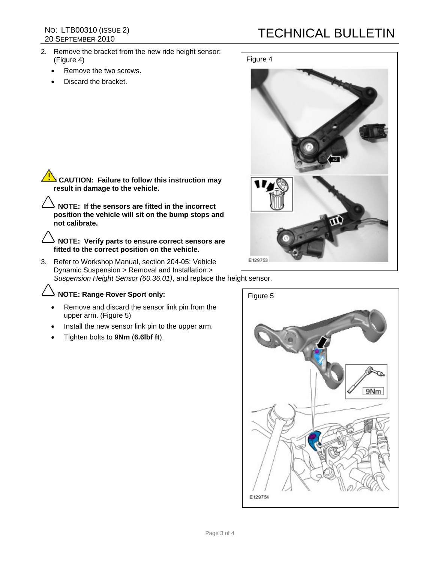# NO: LTB00310 (ISSUE 2)<br>20 SEPTEMBER 2010

- 2. Remove the bracket from the new ride height sensor: (Figure 4)
	- Remove the two screws.
	- Discard the bracket.

## **TECHNICAL BULLETIN**



**CAUTION:** Failure to follow this instruction may **result in damage to the vehicle.** 

**NOTE: If the sensors are fitted in the incorrect position the vehicle will sit on the bump stops and not calibrate.** 

**NOTE: Verify parts to ensure correct sensors are fitted to the correct position on the vehicle.** 

3. Refer to Workshop Manual, section 204-05: Vehicle Dynamic Suspension > Removal and Installation > *Suspension Height Sensor (60.36.01)*, and replace the height sensor.

## **NOTE: Range Rover Sport only:**

- Remove and discard the sensor link pin from the upper arm. (Figure 5)
- Install the new sensor link pin to the upper arm.
- Tighten bolts to **9Nm** (**6.6lbf ft**).